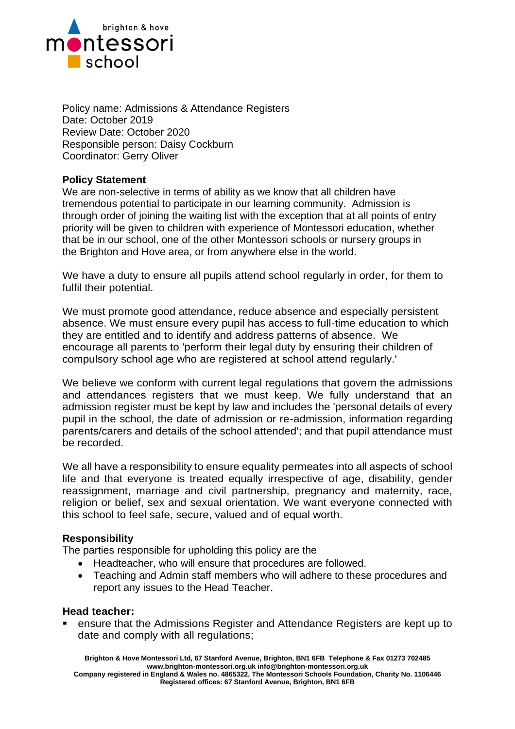

Policy name: Admissions & Attendance Registers Date: October 2019 Review Date: October 2020 Responsible person: Daisy Cockburn Coordinator: Gerry Oliver

## **Policy Statement**

We are non-selective in terms of ability as we know that all children have tremendous potential to participate in our learning community. Admission is through order of joining the waiting list with the exception that at all points of entry priority will be given to children with experience of Montessori education, whether that be in our school, one of the other Montessori schools or nursery groups in the Brighton and Hove area, or from anywhere else in the world.

We have a duty to ensure all pupils attend school regularly in order, for them to fulfil their potential.

We must promote good attendance, reduce absence and especially persistent absence. We must ensure every pupil has access to full-time education to which they are entitled and to identify and address patterns of absence. We encourage all parents to 'perform their legal duty by ensuring their children of compulsory school age who are registered at school attend regularly.'

We believe we conform with current legal regulations that govern the admissions and attendances registers that we must keep. We fully understand that an admission register must be kept by law and includes the 'personal details of every pupil in the school, the date of admission or re-admission, information regarding parents/carers and details of the school attended'; and that pupil attendance must be recorded.

We all have a responsibility to ensure equality permeates into all aspects of school life and that everyone is treated equally irrespective of age, disability, gender reassignment, marriage and civil partnership, pregnancy and maternity, race, religion or belief, sex and sexual orientation. We want everyone connected with this school to feel safe, secure, valued and of equal worth.

## **Responsibility**

The parties responsible for upholding this policy are the

- Headteacher, who will ensure that procedures are followed.
- Teaching and Admin staff members who will adhere to these procedures and report any issues to the Head Teacher.

#### **Head teacher:**

ensure that the Admissions Register and Attendance Registers are kept up to date and comply with all regulations;

**Brighton & Hove Montessori Ltd, 67 Stanford Avenue, Brighton, BN1 6FB Telephone & Fax 01273 702485 www.brighton-montessori.org.uk info@brighton-montessori.org.uk** 

**Company registered in England & Wales no. 4865322, The Montessori Schools Foundation, Charity No. 1106446 Registered offices: 67 Stanford Avenue, Brighton, BN1 6FB**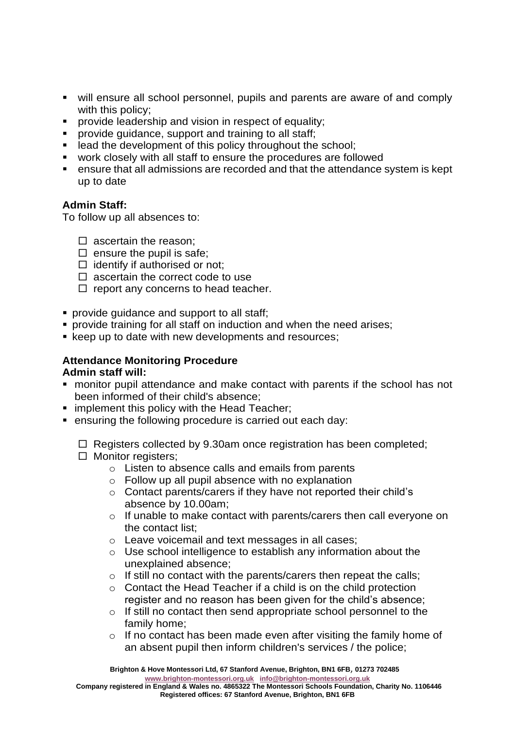- will ensure all school personnel, pupils and parents are aware of and comply with this policy;
- **•** provide leadership and vision in respect of equality;
- provide guidance, support and training to all staff;
- lead the development of this policy throughout the school;
- work closely with all staff to ensure the procedures are followed
- ensure that all admissions are recorded and that the attendance system is kept up to date

# **Admin Staff:**

To follow up all absences to:

- $\square$  ascertain the reason;
- $\square$  ensure the pupil is safe;
- $\Box$  identify if authorised or not:
- $\Box$  ascertain the correct code to use
- $\Box$  report any concerns to head teacher.
- **provide quidance and support to all staff:**
- **•** provide training for all staff on induction and when the need arises;
- keep up to date with new developments and resources;

## **Attendance Monitoring Procedure Admin staff will:**

- monitor pupil attendance and make contact with parents if the school has not been informed of their child's absence;
- **E** implement this policy with the Head Teacher;
- ensuring the following procedure is carried out each day:

 $\Box$  Registers collected by 9.30am once registration has been completed;  $\Box$  Monitor registers;

- o Listen to absence calls and emails from parents
- $\circ$  Follow up all pupil absence with no explanation
- o Contact parents/carers if they have not reported their child's absence by 10.00am;
- o If unable to make contact with parents/carers then call everyone on the contact list;
- o Leave voicemail and text messages in all cases;
- o Use school intelligence to establish any information about the unexplained absence;
- $\circ$  If still no contact with the parents/carers then repeat the calls;
- $\circ$  Contact the Head Teacher if a child is on the child protection register and no reason has been given for the child's absence;
- o If still no contact then send appropriate school personnel to the family home;
- $\circ$  If no contact has been made even after visiting the family home of an absent pupil then inform children's services / the police;

**[www.brighton-montessori.org.uk](http://www.brighton-montessori.org.uk/) [info@brighton-montessori.org.uk](mailto:info@brighton-montessori.org.uk)**

**Company registered in England & Wales no. 4865322 The Montessori Schools Foundation, Charity No. 1106446 Registered offices: 67 Stanford Avenue, Brighton, BN1 6FB**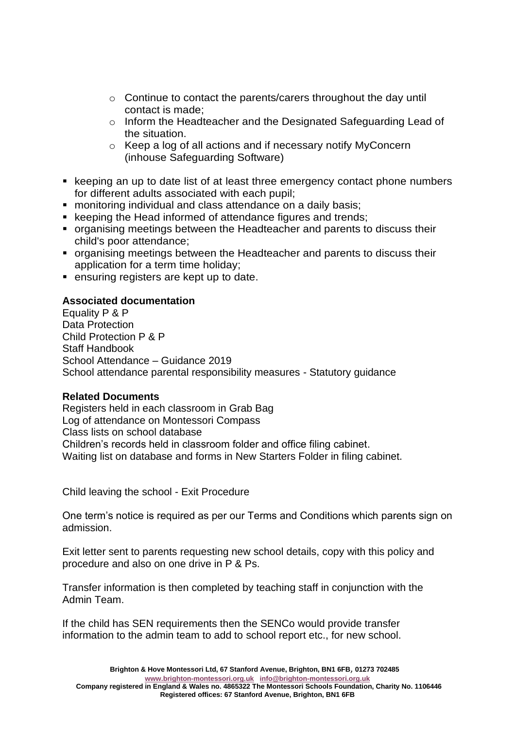- o Continue to contact the parents/carers throughout the day until contact is made;
- o Inform the Headteacher and the Designated Safeguarding Lead of the situation.
- o Keep a log of all actions and if necessary notify MyConcern (inhouse Safeguarding Software)
- keeping an up to date list of at least three emergency contact phone numbers for different adults associated with each pupil;
- monitoring individual and class attendance on a daily basis;
- keeping the Head informed of attendance figures and trends;
- organising meetings between the Headteacher and parents to discuss their child's poor attendance;
- organising meetings between the Headteacher and parents to discuss their application for a term time holiday;
- ensuring registers are kept up to date.

## **Associated documentation**

Equality P & P Data Protection Child Protection P & P Staff Handbook School Attendance – Guidance 2019 School attendance parental responsibility measures - Statutory guidance

## **Related Documents**

Registers held in each classroom in Grab Bag Log of attendance on Montessori Compass Class lists on school database Children's records held in classroom folder and office filing cabinet. Waiting list on database and forms in New Starters Folder in filing cabinet.

Child leaving the school - Exit Procedure

One term's notice is required as per our Terms and Conditions which parents sign on admission.

Exit letter sent to parents requesting new school details, copy with this policy and procedure and also on one drive in P & Ps.

Transfer information is then completed by teaching staff in conjunction with the Admin Team.

If the child has SEN requirements then the SENCo would provide transfer information to the admin team to add to school report etc., for new school.